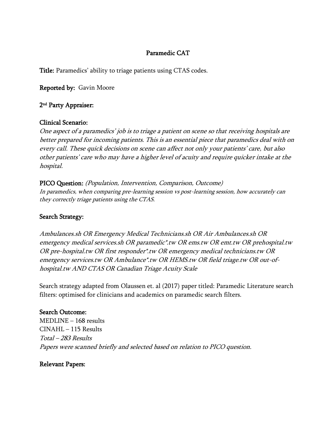## Paramedic CAT

Title: Paramedics' ability to triage patients using CTAS codes.

Reported by: Gavin Moore

## 2 nd Party Appraiser:

### Clinical Scenario:

One aspect of a paramedics' job is to triage a patient on scene so that receiving hospitals are better prepared for incoming patients. This is an essential piece that paramedics deal with on every call. These quick decisions on scene can affect not only your patients' care, but also other patients' care who may have a higher level of acuity and require quicker intake at the hospital.

PICO Question: (Population, Intervention, Comparison, Outcome) In paramedics, when comparing pre-learning session vs post-learning session, how accurately can they correctly triage patients using the CTAS.

### Search Strategy:

Ambulances.sh OR Emergency Medical Technicians.sh OR Air Ambulances.sh OR emergency medical services.sh OR paramedic\*.tw OR ems.tw OR emt.tw OR prehospital.tw OR pre-hospital.tw OR first responder\*.tw OR emergency medical technicians.tw OR emergency services.tw OR Ambulance\*.tw OR HEMS.tw OR field triage.tw OR out-ofhospital.tw AND CTAS OR Canadian Triage Acuity Scale

Search strategy adapted from Olaussen et. al (2017) paper titled: Paramedic Literature search filters: optimised for clinicians and academics on paramedic search filters.

### Search Outcome:

MEDLINE – 168 results CINAHL – 115 Results Total – 283 Results Papers were scanned briefly and selected based on relation to PICO question.

### Relevant Papers: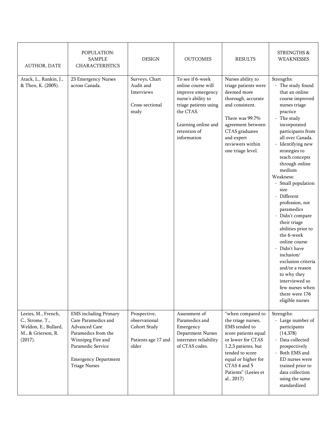| AUTHOR, DATE                                                                                    | POPULATION:<br><b>SAMPLE</b><br><b>CHARACTERISTICS</b>                                                                                                                                       | <b>DESIGN</b>                                                                 | <b>OUTCOMES</b>                                                                                                                                                               | <b>RESULTS</b>                                                                                                                                                                                                               | STRENGTHS &<br>WEAKNESSES                                                                                                                                                                                                                                                                                                                                                                                                                                                                                                                                                                                          |
|-------------------------------------------------------------------------------------------------|----------------------------------------------------------------------------------------------------------------------------------------------------------------------------------------------|-------------------------------------------------------------------------------|-------------------------------------------------------------------------------------------------------------------------------------------------------------------------------|------------------------------------------------------------------------------------------------------------------------------------------------------------------------------------------------------------------------------|--------------------------------------------------------------------------------------------------------------------------------------------------------------------------------------------------------------------------------------------------------------------------------------------------------------------------------------------------------------------------------------------------------------------------------------------------------------------------------------------------------------------------------------------------------------------------------------------------------------------|
| Atack, L., Rankin, J.,<br>& Then, K. (2005).                                                    | 23 Emergency Nurses<br>across Canada.                                                                                                                                                        | Surveys, Chart<br>Audit and<br>Interviews<br>Cross-sectional<br>study         | To see if 6-week<br>online course will<br>improve emergency<br>nurse's ability to<br>triage patients using<br>the CTAS.<br>Learning online and<br>retention of<br>information | Nurses ability to<br>triage patients were<br>deemed more<br>thorough, accurate<br>and consistent.<br>There was 99.7%<br>agreement between<br>CTAS graduates<br>and expert<br>reviewers within<br>one triage level.           | Strengths:<br>- The study found<br>that an online<br>course improved<br>nurses triage<br>practice<br>- The study<br>incorporated<br>participants from<br>all over Canada.<br>- Identifying new<br>strategies to<br>teach concepts<br>through online<br>medium<br>Weakness:<br>- Small population<br>size<br>- Different<br>profession, not<br>paramedics<br>- Didn't compare<br>their triage<br>abilities prior to<br>the 6-week<br>online course<br>- Didn't have<br>inclusion/<br>exclusion criteria<br>and/or a reason<br>to why they<br>interviewed so<br>few nurses when<br>there were 176<br>eligible nurses |
| Leeies, M., French,<br>C., Strome, T.,<br>Weldon, E., Bullard,<br>M., & Grierson, R.<br>(2017). | <b>EMS</b> including Primary<br>Care Paramedics and<br>Advanced Care<br>Paramedics from the<br>Winnipeg Fire and<br>Paramedic Service<br><b>Emergency Department</b><br><b>Triage Nurses</b> | Prospective,<br>observational<br>Cohort Study<br>Patients age 17 and<br>older | Assessment of<br>Paramedics and<br>Emergency<br>Department Nurses<br>interrater reliability<br>of CTAS codes.                                                                 | "when compared to<br>the triage nurses,<br>EMS tended to<br>score patients equal<br>or lower for CTAS<br>1,2,3 patients, but<br>tended to score<br>equal or higher for<br>CTAS 4 and 5<br>Patients" (Leeies et<br>al., 2017) | Strengths:<br>- Large number of<br>participants<br>(14,378)<br>- Data collected<br>prospectively<br>- Both EMS and<br>ED nurses were<br>trained prior to<br>data collection<br>using the same<br>standardized                                                                                                                                                                                                                                                                                                                                                                                                      |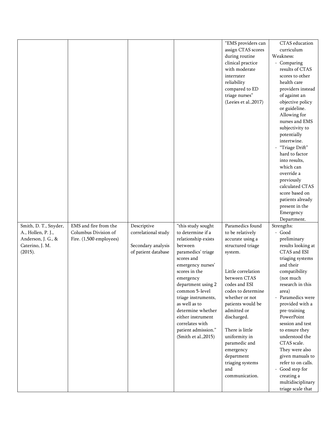|                                                                                                 |                                                                          |                                                                                 |                                                                                                                                                                                                                                                                                                                                                              | "EMS providers can<br>assign CTAS scores<br>during routine<br>clinical practice<br>with moderate<br>interrater<br>reliability<br>compared to ED<br>triage nurses"<br>(Leeies et al., 2017)                                                                                                                                                                              | curriculum<br>Weakness:<br>- Comparing<br>results of CTAS<br>scores to other<br>health care<br>providers instead<br>of against an<br>objective policy<br>or guideline.<br>Allowing for<br>nurses and EMS<br>subjectivity to<br>potentially<br>intertwine.<br>- "Triage Drift"<br>hard to factor<br>into results,<br>which can<br>override a<br>previously<br>calculated CTAS<br>score based on<br>patients already<br>present in the<br>Emergency<br>Department. |
|-------------------------------------------------------------------------------------------------|--------------------------------------------------------------------------|---------------------------------------------------------------------------------|--------------------------------------------------------------------------------------------------------------------------------------------------------------------------------------------------------------------------------------------------------------------------------------------------------------------------------------------------------------|-------------------------------------------------------------------------------------------------------------------------------------------------------------------------------------------------------------------------------------------------------------------------------------------------------------------------------------------------------------------------|------------------------------------------------------------------------------------------------------------------------------------------------------------------------------------------------------------------------------------------------------------------------------------------------------------------------------------------------------------------------------------------------------------------------------------------------------------------|
| Smith, D. T., Snyder,<br>A., Hollen, P. J.,<br>Anderson, J. G., &<br>Caterino, J. M.<br>(2015). | EMS and fire from the<br>Columbus Division of<br>Fire. (1,500 employees) | Descriptive<br>correlational study<br>Secondary analysis<br>of patient database | "this study sought<br>to determine if a<br>relationship exists<br>between<br>paramedics' triage<br>scores and<br>emergency nurses'<br>scores in the<br>emergency<br>department using 2<br>common 5-level<br>triage instruments,<br>as well as to<br>determine whether<br>either instrument<br>correlates with<br>patient admission."<br>(Smith et al., 2015) | Paramedics found<br>to be relatively<br>accurate using a<br>structured triage<br>system.<br>Little correlation<br>between CTAS<br>codes and ESI<br>codes to determine<br>whether or not<br>patients would be<br>admitted or<br>discharged.<br>There is little<br>uniformity in<br>paramedic and<br>emergency<br>department<br>triaging systems<br>and<br>communication. | Strengths:<br>- Good<br>preliminary<br>results looking at<br>CTAS and ESI<br>triaging systems<br>and their<br>compatibility<br>(not much<br>research in this<br>area)<br>- Paramedics were<br>provided with a<br>pre-training<br>PowerPoint<br>session and test<br>to ensure they<br>understood the<br>CTAS scale.<br>They were also<br>given manuals to<br>refer to on calls.<br>- Good step for<br>creating a<br>multidisciplinary<br>triage scale that        |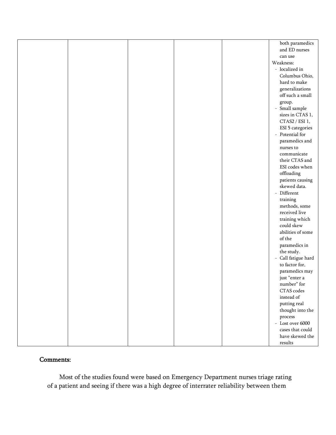|  |  | both paramedics                                        |
|--|--|--------------------------------------------------------|
|  |  | and ED nurses                                          |
|  |  | can use                                                |
|  |  | Weakness:                                              |
|  |  | - localized in                                         |
|  |  | Columbus Ohio,                                         |
|  |  | hard to make                                           |
|  |  | generalizations                                        |
|  |  | off such a small                                       |
|  |  |                                                        |
|  |  | group.<br>- Small sample                               |
|  |  | sizes in CTAS 1,                                       |
|  |  | CTAS2 / ESI 1,                                         |
|  |  | ESI 5 categories                                       |
|  |  | - Potential for                                        |
|  |  | paramedics and                                         |
|  |  |                                                        |
|  |  | nurses to                                              |
|  |  | communicate                                            |
|  |  | their CTAS and                                         |
|  |  | ESI codes when                                         |
|  |  | offloading                                             |
|  |  | patients causing                                       |
|  |  | skewed data.                                           |
|  |  | - Different                                            |
|  |  | training                                               |
|  |  | methods, some                                          |
|  |  | received live                                          |
|  |  | training which                                         |
|  |  | could skew                                             |
|  |  | abilities of some                                      |
|  |  | of the                                                 |
|  |  | paramedics in                                          |
|  |  | the study.                                             |
|  |  | - Call fatigue hard                                    |
|  |  | to factor for,                                         |
|  |  | paramedics may                                         |
|  |  | just "enter a                                          |
|  |  | $\mbox{number}^{\rm o}$ for                            |
|  |  | CTAS codes                                             |
|  |  | instead of                                             |
|  |  | putting real                                           |
|  |  | thought into the $% \left\vert \psi _{n}\right\rangle$ |
|  |  | process                                                |
|  |  | - Lost over $6000$                                     |
|  |  | cases that could                                       |
|  |  | have skewed the                                        |
|  |  | results                                                |

# Comments:

Most of the studies found were based on Emergency Department nurses triage rating of a patient and seeing if there was a high degree of interrater reliability between them